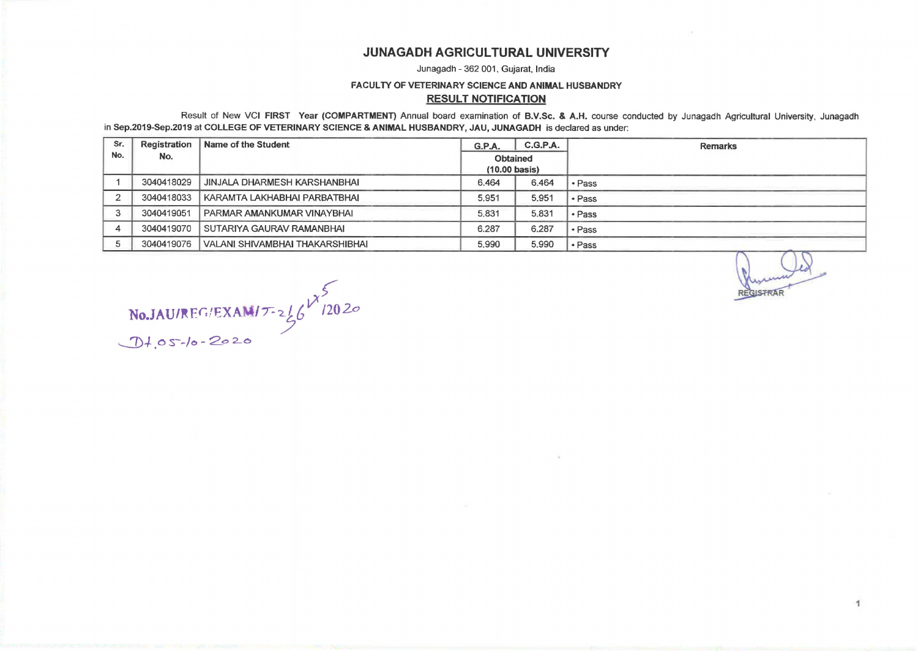# JUNAGADH AGRICULTURAL UNIVERSITY

Junagadh - 362 001, Gujarat, India

#### FACULTY OF VETERINARY SCIENCE AND ANIMAL HUSBANDRY

### RESULT NOTIFICATION

Result of New VCI FIRST Year (COMPARTMENT) Annual board examination of B.V.Sc. & A.H. course conducted by Junagadh Agricultural University, Junagadh in Sep.2019-Sep.2019 at COLLEGE OF VETERINARY SCIENCE & ANIMAL HUSBANDRY, JAU, JUNAGADH is declared as under:

| Sr. | <b>Registration</b> | Name of the Student               | G.P.A.                              | C.G.P.A. | <b>Remarks</b>            |
|-----|---------------------|-----------------------------------|-------------------------------------|----------|---------------------------|
| No. | No.                 |                                   | Obtained<br>$(10.00 \text{ basis})$ |          |                           |
|     | 3040418029          | JINJALA DHARMESH KARSHANBHAI      | 6.464                               | 6.464    | • Pass                    |
|     | 3040418033          | KARAMTA LAKHABHAI PARBATBHAI      | 5.951                               | 5.951    | • Pass                    |
|     | 3040419051          | <b>PARMAR AMANKUMAR VINAYBHAI</b> | 5.831                               | 5.831    | • Pass                    |
|     | 3040419070          | SUTARIYA GAURAV RAMANBHAI         | 6.287                               | 6.287    | • Pass                    |
|     | 3040419076          | VALANI SHIVAMBHAI THAKARSHIBHAI   | 5.990                               | 5.990    | • Pass                    |
|     |                     |                                   |                                     |          | Myrum<br><b>REGISTRAR</b> |

 $\text{No.JAU/REG/EXAMPLE} \left\{\n \begin{array}{l}\n \sqrt{2020}\n \end{array}\n \right\}$  $J1.05$ -/o - 2020

1